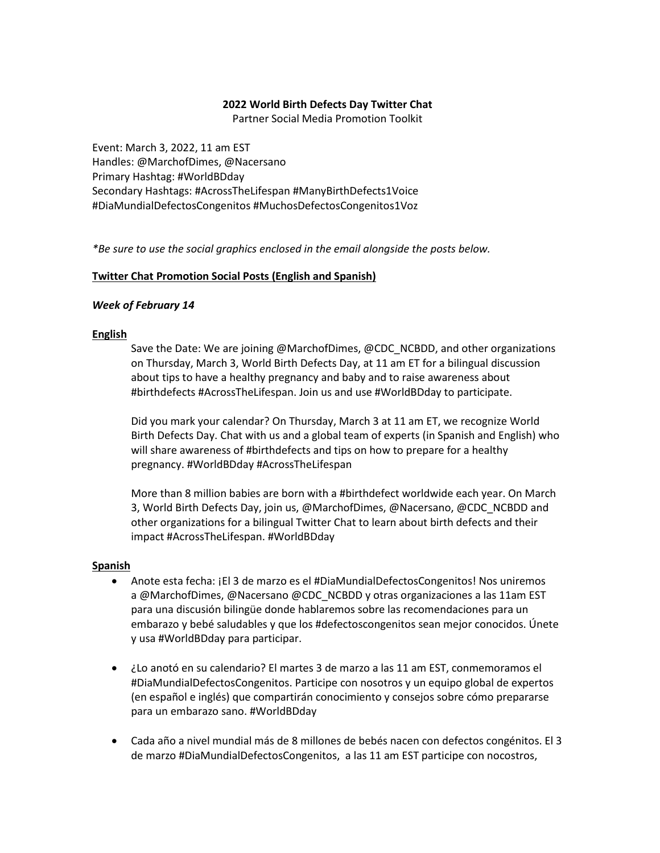### **2022 World Birth Defects Day Twitter Chat**

Partner Social Media Promotion Toolkit

Event: March 3, 2022, 11 am EST Handles: @MarchofDimes, @Nacersano Primary Hashtag: #WorldBDday Secondary Hashtags: #AcrossTheLifespan #ManyBirthDefects1Voice #DiaMundialDefectosCongenitos #MuchosDefectosCongenitos1Voz

*\*Be sure to use the social graphics enclosed in the email alongside the posts below.* 

### **Twitter Chat Promotion Social Posts (English and Spanish)**

### *Week of February 14*

#### **English**

Save the Date: We are joining @MarchofDimes, @CDC\_NCBDD, and other organizations on Thursday, March 3, World Birth Defects Day, at 11 am ET for a bilingual discussion about tips to have a healthy pregnancy and baby and to raise awareness about #birthdefects #AcrossTheLifespan. Join us and use #WorldBDday to participate.

Did you mark your calendar? On Thursday, March 3 at 11 am ET, we recognize World Birth Defects Day. Chat with us and a global team of experts (in Spanish and English) who will share awareness of #birthdefects and tips on how to prepare for a healthy pregnancy. #WorldBDday #AcrossTheLifespan

More than 8 million babies are born with a #birthdefect worldwide each year. On March 3, World Birth Defects Day, join us, @MarchofDimes, @Nacersano, @CDC\_NCBDD and other organizations for a bilingual Twitter Chat to learn about birth defects and their impact #AcrossTheLifespan. #WorldBDday

#### **Spanish**

- Anote esta fecha: ¡El 3 de marzo es el #DiaMundialDefectosCongenitos! Nos uniremos a @MarchofDimes, @Nacersano @CDC\_NCBDD y otras organizaciones a las 11am EST para una discusión bilingüe donde hablaremos sobre las recomendaciones para un embarazo y bebé saludables y que los #defectoscongenitos sean mejor conocidos. Únete y usa #WorldBDday para participar.
- ¿Lo anotó en su calendario? El martes 3 de marzo a las 11 am EST, conmemoramos el #DiaMundialDefectosCongenitos. Participe con nosotros y un equipo global de expertos (en español e inglés) que compartirán conocimiento y consejos sobre cómo prepararse para un embarazo sano. #WorldBDday
- Cada año a nivel mundial más de 8 millones de bebés nacen con defectos congénitos. El 3 de marzo #DiaMundialDefectosCongenitos, a las 11 am EST participe con nocostros,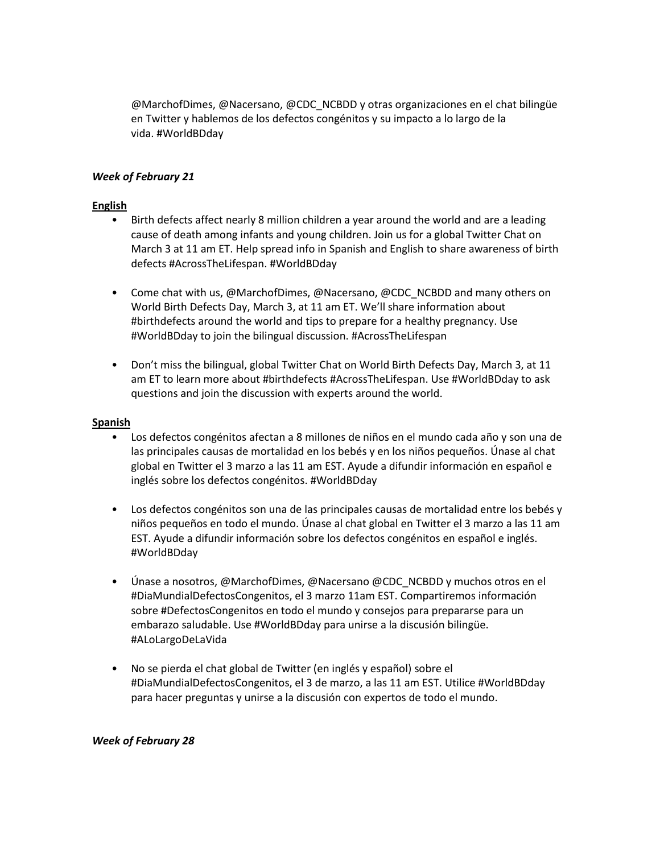@MarchofDimes, @Nacersano, @CDC\_NCBDD y otras organizaciones en el chat bilingüe en Twitter y hablemos de los defectos congénitos y su impacto a lo largo de la vida. #WorldBDday

## *Week of February 21*

## **English**

- Birth defects affect nearly 8 million children a year around the world and are a leading cause of death among infants and young children. Join us for a global Twitter Chat on March 3 at 11 am ET. Help spread info in Spanish and English to share awareness of birth defects #AcrossTheLifespan. #WorldBDday
- Come chat with us, @MarchofDimes, @Nacersano, @CDC\_NCBDD and many others on World Birth Defects Day, March 3, at 11 am ET. We'll share information about #birthdefects around the world and tips to prepare for a healthy pregnancy. Use #WorldBDday to join the bilingual discussion. #AcrossTheLifespan
- Don't miss the bilingual, global Twitter Chat on World Birth Defects Day, March 3, at 11 am ET to learn more about #birthdefects #AcrossTheLifespan. Use #WorldBDday to ask questions and join the discussion with experts around the world.

### **Spanish**

- Los defectos congénitos afectan a 8 millones de niños en el mundo cada año y son una de las principales causas de mortalidad en los bebés y en los niños pequeños. Únase al chat global en Twitter el 3 marzo a las 11 am EST. Ayude a difundir información en español e inglés sobre los defectos congénitos. #WorldBDday
- Los defectos congénitos son una de las principales causas de mortalidad entre los bebés y niños pequeños en todo el mundo. Únase al chat global en Twitter el 3 marzo a las 11 am EST. Ayude a difundir información sobre los defectos congénitos en español e inglés. #WorldBDday
- Únase a nosotros, @MarchofDimes, @Nacersano @CDC\_NCBDD y muchos otros en el #DiaMundialDefectosCongenitos, el 3 marzo 11am EST. Compartiremos información sobre #DefectosCongenitos en todo el mundo y consejos para prepararse para un embarazo saludable. Use #WorldBDday para unirse a la discusión bilingüe. #ALoLargoDeLaVida
- No se pierda el chat global de Twitter (en inglés y español) sobre el #DiaMundialDefectosCongenitos, el 3 de marzo, a las 11 am EST. Utilice #WorldBDday para hacer preguntas y unirse a la discusión con expertos de todo el mundo.

#### *Week of February 28*